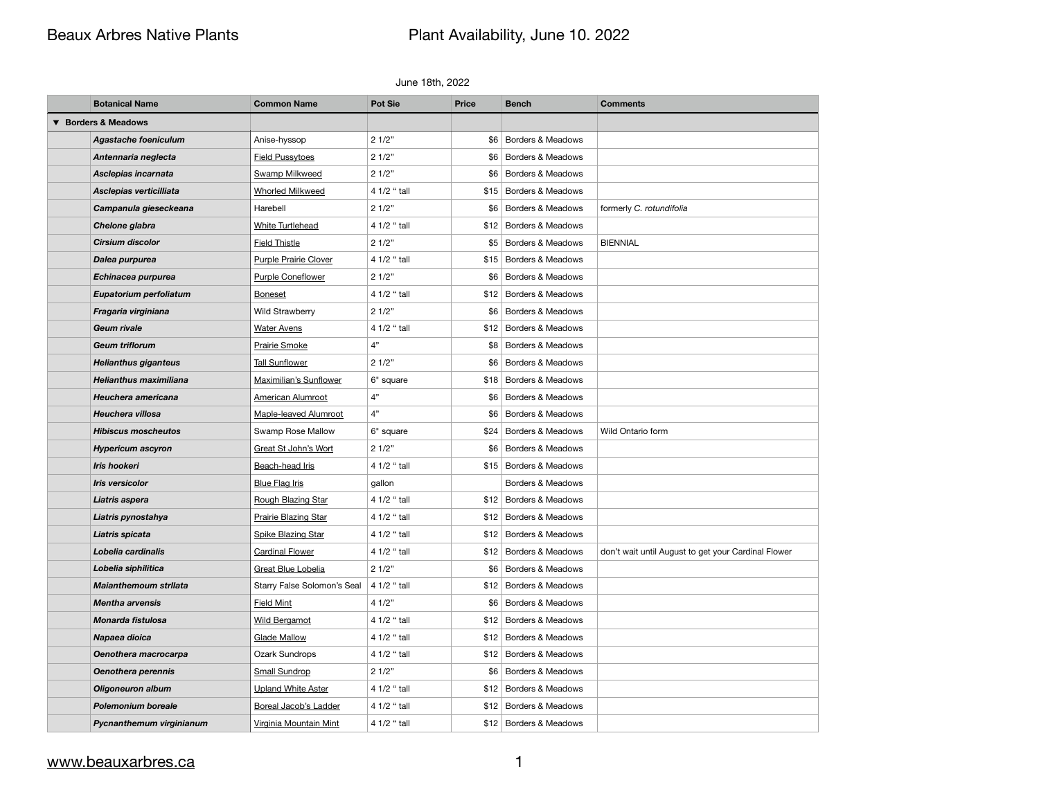# Beaux Arbres Native Plants **Plant Availability**, June 10. 2022

### June 18th, 2022

## [www.beauxarbres.ca](http://www.beauxarbres.ca) 1

| <b>Borders &amp; Meadows</b><br>$\blacktriangledown$<br><b>Agastache foeniculum</b><br>21/2"<br>Anise-hyssop<br>\$6<br><b>Borders &amp; Meadows</b><br>Antennaria neglecta<br><b>Field Pussytoes</b><br>21/2"<br>\$6   Borders & Meadows<br>Asclepias incarnata<br>21/2"<br><b>Swamp Milkweed</b><br>\$6<br>Borders & Meadows<br>4 1/2 " tall<br>Asclepias verticilliata<br><b>Whorled Milkweed</b><br>\$15 Borders & Meadows<br>Campanula gieseckeana<br>21/2"<br>Borders & Meadows<br>formerly C. rotundifolia<br>Harebell<br>\$6<br>4 1/2 " tall<br><b>White Turtlehead</b><br>\$12 Borders & Meadows<br>Chelone glabra<br><b>Cirsium discolor</b><br><b>Field Thistle</b><br>21/2"<br><b>Borders &amp; Meadows</b><br><b>BIENNIAL</b><br>\$5<br><b>Purple Prairie Clover</b><br>4 1/2 " tall<br>\$15   Borders & Meadows<br>Dalea purpurea<br>21/2"<br><b>Purple Coneflower</b><br>\$6<br>Borders & Meadows<br>Echinacea purpurea |  |
|---------------------------------------------------------------------------------------------------------------------------------------------------------------------------------------------------------------------------------------------------------------------------------------------------------------------------------------------------------------------------------------------------------------------------------------------------------------------------------------------------------------------------------------------------------------------------------------------------------------------------------------------------------------------------------------------------------------------------------------------------------------------------------------------------------------------------------------------------------------------------------------------------------------------------------------|--|
|                                                                                                                                                                                                                                                                                                                                                                                                                                                                                                                                                                                                                                                                                                                                                                                                                                                                                                                                       |  |
|                                                                                                                                                                                                                                                                                                                                                                                                                                                                                                                                                                                                                                                                                                                                                                                                                                                                                                                                       |  |
|                                                                                                                                                                                                                                                                                                                                                                                                                                                                                                                                                                                                                                                                                                                                                                                                                                                                                                                                       |  |
|                                                                                                                                                                                                                                                                                                                                                                                                                                                                                                                                                                                                                                                                                                                                                                                                                                                                                                                                       |  |
|                                                                                                                                                                                                                                                                                                                                                                                                                                                                                                                                                                                                                                                                                                                                                                                                                                                                                                                                       |  |
|                                                                                                                                                                                                                                                                                                                                                                                                                                                                                                                                                                                                                                                                                                                                                                                                                                                                                                                                       |  |
|                                                                                                                                                                                                                                                                                                                                                                                                                                                                                                                                                                                                                                                                                                                                                                                                                                                                                                                                       |  |
|                                                                                                                                                                                                                                                                                                                                                                                                                                                                                                                                                                                                                                                                                                                                                                                                                                                                                                                                       |  |
|                                                                                                                                                                                                                                                                                                                                                                                                                                                                                                                                                                                                                                                                                                                                                                                                                                                                                                                                       |  |
|                                                                                                                                                                                                                                                                                                                                                                                                                                                                                                                                                                                                                                                                                                                                                                                                                                                                                                                                       |  |
| 4 1/2 " tall<br>\$12 Borders & Meadows<br>Eupatorium perfoliatum<br><b>Boneset</b>                                                                                                                                                                                                                                                                                                                                                                                                                                                                                                                                                                                                                                                                                                                                                                                                                                                    |  |
| 21/2"<br>Borders & Meadows<br>Fragaria virginiana<br><b>Wild Strawberry</b><br>\$6                                                                                                                                                                                                                                                                                                                                                                                                                                                                                                                                                                                                                                                                                                                                                                                                                                                    |  |
| <b>Water Avens</b><br>4 1/2 " tall<br>\$12 Borders & Meadows<br><b>Geum rivale</b>                                                                                                                                                                                                                                                                                                                                                                                                                                                                                                                                                                                                                                                                                                                                                                                                                                                    |  |
| Prairie Smoke<br>4"<br><b>Geum triflorum</b><br>Borders & Meadows<br>\$8                                                                                                                                                                                                                                                                                                                                                                                                                                                                                                                                                                                                                                                                                                                                                                                                                                                              |  |
| <b>Tall Sunflower</b><br>21/2"<br>Borders & Meadows<br><b>Helianthus giganteus</b><br>\$6                                                                                                                                                                                                                                                                                                                                                                                                                                                                                                                                                                                                                                                                                                                                                                                                                                             |  |
| <b>Helianthus maximiliana</b><br>Maximilian's Sunflower<br>\$18 Borders & Meadows<br>6" square                                                                                                                                                                                                                                                                                                                                                                                                                                                                                                                                                                                                                                                                                                                                                                                                                                        |  |
| 4"<br>Borders & Meadows<br>Heuchera americana<br><b>American Alumroot</b><br>\$6                                                                                                                                                                                                                                                                                                                                                                                                                                                                                                                                                                                                                                                                                                                                                                                                                                                      |  |
| 4"<br>Heuchera villosa<br>Maple-leaved Alumroot<br>Borders & Meadows<br>\$6                                                                                                                                                                                                                                                                                                                                                                                                                                                                                                                                                                                                                                                                                                                                                                                                                                                           |  |
| Swamp Rose Mallow<br><b>Hibiscus moscheutos</b><br>\$24 Borders & Meadows<br>Wild Ontario form<br>6" square                                                                                                                                                                                                                                                                                                                                                                                                                                                                                                                                                                                                                                                                                                                                                                                                                           |  |
| Great St John's Wort<br>21/2"<br>Borders & Meadows<br>\$6<br><b>Hypericum ascyron</b>                                                                                                                                                                                                                                                                                                                                                                                                                                                                                                                                                                                                                                                                                                                                                                                                                                                 |  |
| <b>Iris hookeri</b><br>Beach-head Iris<br>4 1/2 " tall<br>\$15 Borders & Meadows                                                                                                                                                                                                                                                                                                                                                                                                                                                                                                                                                                                                                                                                                                                                                                                                                                                      |  |
| Iris versicolor<br><b>Blue Flag Iris</b><br>Borders & Meadows<br>gallon                                                                                                                                                                                                                                                                                                                                                                                                                                                                                                                                                                                                                                                                                                                                                                                                                                                               |  |
| Liatris aspera<br>Rough Blazing Star<br>4 1/2 " tall<br>\$12 Borders & Meadows                                                                                                                                                                                                                                                                                                                                                                                                                                                                                                                                                                                                                                                                                                                                                                                                                                                        |  |
| <b>Prairie Blazing Star</b><br>4 1/2 " tall<br>\$12 Borders & Meadows<br>Liatris pynostahya                                                                                                                                                                                                                                                                                                                                                                                                                                                                                                                                                                                                                                                                                                                                                                                                                                           |  |
| 4 1/2 " tall<br>Borders & Meadows<br>Spike Blazing Star<br>Liatris spicata<br>\$12                                                                                                                                                                                                                                                                                                                                                                                                                                                                                                                                                                                                                                                                                                                                                                                                                                                    |  |
| <b>Cardinal Flower</b><br>Lobelia cardinalis<br>4 1/2 " tall<br>\$12 Borders & Meadows<br>don't wait until August to get your Cardinal Flower                                                                                                                                                                                                                                                                                                                                                                                                                                                                                                                                                                                                                                                                                                                                                                                         |  |
| 21/2"<br><b>Great Blue Lobelia</b><br>Borders & Meadows<br>Lobelia siphilitica<br>\$6                                                                                                                                                                                                                                                                                                                                                                                                                                                                                                                                                                                                                                                                                                                                                                                                                                                 |  |
| Starry False Solomon's Seal<br>4 1/2 " tall<br>\$12 Borders & Meadows<br><b>Maianthemoum strilata</b>                                                                                                                                                                                                                                                                                                                                                                                                                                                                                                                                                                                                                                                                                                                                                                                                                                 |  |
| 41/2"<br>\$6   Borders & Meadows<br><b>Mentha arvensis</b><br><b>Field Mint</b>                                                                                                                                                                                                                                                                                                                                                                                                                                                                                                                                                                                                                                                                                                                                                                                                                                                       |  |
| 4 1/2 " tall<br><b>Wild Bergamot</b><br>Borders & Meadows<br>Monarda fistulosa<br>\$12                                                                                                                                                                                                                                                                                                                                                                                                                                                                                                                                                                                                                                                                                                                                                                                                                                                |  |
| Napaea dioica<br><b>Glade Mallow</b><br>4 1/2 " tall<br>Borders & Meadows<br>\$12                                                                                                                                                                                                                                                                                                                                                                                                                                                                                                                                                                                                                                                                                                                                                                                                                                                     |  |
| Ozark Sundrops<br>4 1/2 " tall<br>\$12 Borders & Meadows<br>Oenothera macrocarpa                                                                                                                                                                                                                                                                                                                                                                                                                                                                                                                                                                                                                                                                                                                                                                                                                                                      |  |
| 21/2"<br><b>Oenothera perennis</b><br><b>Small Sundrop</b><br>Borders & Meadows<br>\$6                                                                                                                                                                                                                                                                                                                                                                                                                                                                                                                                                                                                                                                                                                                                                                                                                                                |  |
| <b>Upland White Aster</b><br>4 1/2 " tall<br>Borders & Meadows<br><b>Oligoneuron album</b><br>\$12                                                                                                                                                                                                                                                                                                                                                                                                                                                                                                                                                                                                                                                                                                                                                                                                                                    |  |
| <b>Polemonium boreale</b><br><b>Boreal Jacob's Ladder</b><br>4 1/2 " tall<br>\$12 Borders & Meadows                                                                                                                                                                                                                                                                                                                                                                                                                                                                                                                                                                                                                                                                                                                                                                                                                                   |  |
| 4 1/2 " tall<br>\$12 Borders & Meadows<br>Pycnanthemum virginianum<br>Virginia Mountain Mint                                                                                                                                                                                                                                                                                                                                                                                                                                                                                                                                                                                                                                                                                                                                                                                                                                          |  |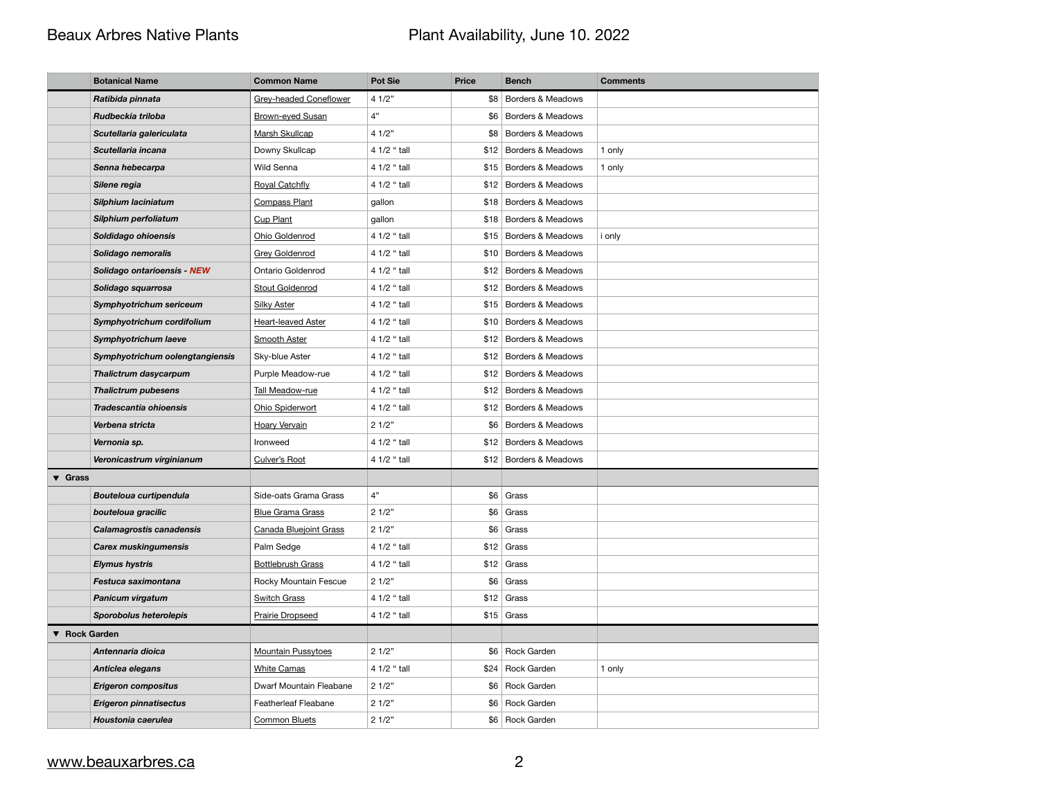# Beaux Arbres Native Plants **Plant Availability**, June 10. 2022

|                            | <b>Botanical Name</b>           | <b>Common Name</b>            | <b>Pot Sie</b> | <b>Price</b> | <b>Bench</b>                 | <b>Comments</b> |
|----------------------------|---------------------------------|-------------------------------|----------------|--------------|------------------------------|-----------------|
|                            | Ratibida pinnata                | <b>Grey-headed Coneflower</b> | 41/2"          |              | \$8 Borders & Meadows        |                 |
|                            | Rudbeckia triloba               | Brown-eyed Susan              | 4"             | \$6          | Borders & Meadows            |                 |
|                            | Scutellaria galericulata        | Marsh Skullcap                | 41/2"          | \$8          | Borders & Meadows            |                 |
|                            | Scutellaria incana              | Downy Skullcap                | 4 1/2 " tall   |              | \$12 Borders & Meadows       | 1 only          |
|                            | Senna hebecarpa                 | Wild Senna                    | 4 1/2 " tall   |              | \$15 Borders & Meadows       | 1 only          |
|                            | Silene regia                    | <b>Royal Catchfly</b>         | 4 1/2 " tall   | \$12         | Borders & Meadows            |                 |
|                            | Silphium laciniatum             | <b>Compass Plant</b>          | gallon         |              | \$18 Borders & Meadows       |                 |
|                            | Silphium perfoliatum            | <b>Cup Plant</b>              | gallon         | \$18         | <b>Borders &amp; Meadows</b> |                 |
|                            | Soldidago ohioensis             | Ohio Goldenrod                | 4 1/2 " tall   | \$15         | Borders & Meadows            | <i>i</i> only   |
|                            | Solidago nemoralis              | <b>Grey Goldenrod</b>         | 4 1/2 " tall   |              | \$10 Borders & Meadows       |                 |
|                            | Solidago ontarioensis - NEW     | <b>Ontario Goldenrod</b>      | 4 1/2 " tall   | \$12         | Borders & Meadows            |                 |
|                            | Solidago squarrosa              | <b>Stout Goldenrod</b>        | 4 1/2 " tall   | \$12         | Borders & Meadows            |                 |
|                            | Symphyotrichum sericeum         | <b>Silky Aster</b>            | 4 1/2 " tall   |              | \$15   Borders & Meadows     |                 |
|                            | Symphyotrichum cordifolium      | Heart-leaved Aster            | 4 1/2 " tall   | \$10         | <b>Borders &amp; Meadows</b> |                 |
|                            | <b>Symphyotrichum laeve</b>     | <b>Smooth Aster</b>           | 4 1/2 " tall   | \$12         | Borders & Meadows            |                 |
|                            | Symphyotrichum oolengtangiensis | Sky-blue Aster                | 4 1/2 " tall   |              | \$12 Borders & Meadows       |                 |
|                            | <b>Thalictrum dasycarpum</b>    | Purple Meadow-rue             | 4 1/2 " tall   |              | \$12 Borders & Meadows       |                 |
|                            | <b>Thalictrum pubesens</b>      | Tall Meadow-rue               | 4 1/2 " tall   | \$12         | Borders & Meadows            |                 |
|                            | Tradescantia ohioensis          | Ohio Spiderwort               | 4 1/2 " tall   | \$12         | Borders & Meadows            |                 |
|                            | Verbena stricta                 | <b>Hoary Vervain</b>          | 21/2"          | \$6          | Borders & Meadows            |                 |
|                            | Vernonia sp.                    | Ironweed                      | 4 1/2 " tall   | \$12         | Borders & Meadows            |                 |
|                            | Veronicastrum virginianum       | Culver's Root                 | 4 1/2 " tall   |              | \$12 Borders & Meadows       |                 |
| $\blacktriangledown$ Grass |                                 |                               |                |              |                              |                 |
|                            | <b>Bouteloua curtipendula</b>   | Side-oats Grama Grass         | 4"             | \$6          | Grass                        |                 |
|                            | bouteloua gracilic              | <b>Blue Grama Grass</b>       | 21/2"          |              | $$6 $ Grass                  |                 |
|                            | <b>Calamagrostis canadensis</b> | <b>Canada Bluejoint Grass</b> | 21/2"          | \$6          | Grass                        |                 |
|                            | <b>Carex muskingumensis</b>     | Palm Sedge                    | 4 1/2 " tall   |              | $$12$ Grass                  |                 |
|                            | <b>Elymus hystris</b>           | <b>Bottlebrush Grass</b>      | 4 1/2 " tall   |              | $$12$ Grass                  |                 |
|                            | Festuca saximontana             | Rocky Mountain Fescue         | 21/2"          | \$6          | Grass                        |                 |
|                            | <b>Panicum virgatum</b>         | <b>Switch Grass</b>           | 4 1/2 " tall   |              | $$12$ Grass                  |                 |
|                            | <b>Sporobolus heterolepis</b>   | <b>Prairie Dropseed</b>       | 4 1/2 " tall   |              | $$15$ Grass                  |                 |
| ▼ Rock Garden              |                                 |                               |                |              |                              |                 |
|                            | Antennaria dioica               | <b>Mountain Pussytoes</b>     | 21/2"          |              | \$6 Rock Garden              |                 |
|                            | Anticlea elegans                | <b>White Camas</b>            | 4 1/2 " tall   |              | $$24$ Rock Garden            | 1 only          |
|                            | <b>Erigeron compositus</b>      | Dwarf Mountain Fleabane       | 21/2"          |              | \$6 Rock Garden              |                 |
|                            | <b>Erigeron pinnatisectus</b>   | <b>Featherleaf Fleabane</b>   | 21/2"          |              | \$6 Rock Garden              |                 |
|                            | Houstonia caerulea              | <b>Common Bluets</b>          | 21/2"          |              | \$6 Rock Garden              |                 |

## [www.beauxarbres.ca](http://www.beauxarbres.ca) 2